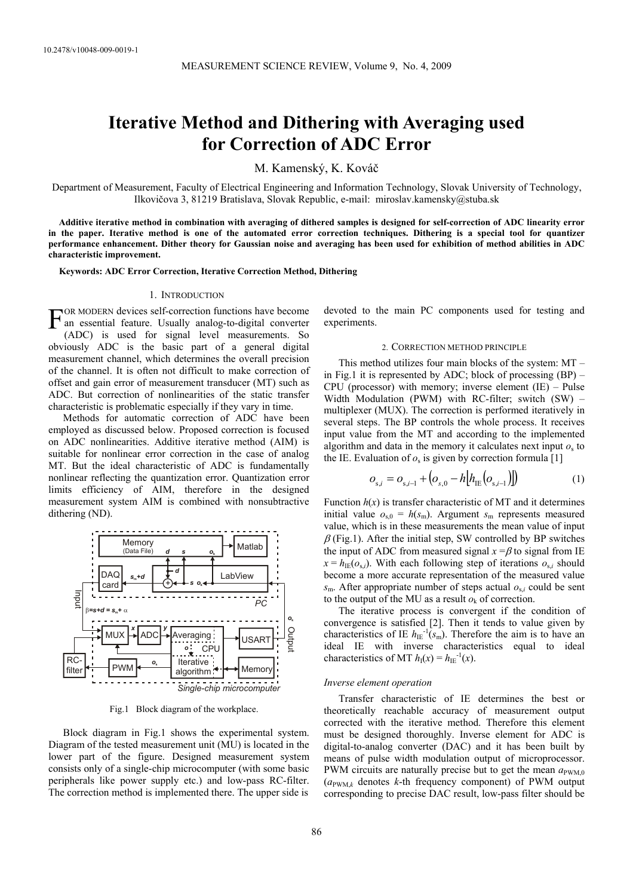# **Iterative Method and Dithering with Averaging used for Correction of ADC Error**

M. Kamenský, K. Kováč

Department of Measurement, Faculty of Electrical Engineering and Information Technology, Slovak University of Technology, Ilkovičova 3, 81219 Bratislava, Slovak Republic, e-mail: miroslav.kamensky@stuba.sk

**Additive iterative method in combination with averaging of dithered samples is designed for self-correction of ADC linearity error in the paper. Iterative method is one of the automated error correction techniques. Dithering is a special tool for quantizer performance enhancement. Dither theory for Gaussian noise and averaging has been used for exhibition of method abilities in ADC characteristic improvement.** 

**Keywords: ADC Error Correction, Iterative Correction Method, Dithering** 

## 1. INTRODUCTION

 $\Gamma$  OR MODERN devices self-correction functions have become an essential feature. Usually analog-to-digital converter an essential feature. Usually analog-to-digital converter (ADC) is used for signal level measurements. So obviously ADC is the basic part of a general digital measurement channel, which determines the overall precision of the channel. It is often not difficult to make correction of offset and gain error of measurement transducer (MT) such as ADC. But correction of nonlinearities of the static transfer characteristic is problematic especially if they vary in time.

Methods for automatic correction of ADC have been employed as discussed below. Proposed correction is focused on ADC nonlinearities. Additive iterative method (AIM) is suitable for nonlinear error correction in the case of analog MT. But the ideal characteristic of ADC is fundamentally nonlinear reflecting the quantization error. Quantization error limits efficiency of AIM, therefore in the designed measurement system AIM is combined with nonsubtractive dithering (ND).



Fig.1 Block diagram of the workplace.

Block diagram in Fig.1 shows the experimental system. Diagram of the tested measurement unit (MU) is located in the lower part of the figure. Designed measurement system consists only of a single-chip microcomputer (with some basic peripherals like power supply etc.) and low-pass RC-filter. The correction method is implemented there. The upper side is

devoted to the main PC components used for testing and experiments.

#### 2. CORRECTION METHOD PRINCIPLE

This method utilizes four main blocks of the system: MT – in Fig.1 it is represented by ADC; block of processing  $(BP)$  – CPU (processor) with memory; inverse element (IE) – Pulse Width Modulation (PWM) with RC-filter; switch (SW) – multiplexer (MUX). The correction is performed iteratively in several steps. The BP controls the whole process. It receives input value from the MT and according to the implemented algorithm and data in the memory it calculates next input  $o<sub>s</sub>$  to the IE. Evaluation of  $o_s$  is given by correction formula [1]

$$
o_{s,i} = o_{s,i-1} + (o_{s,0} - h[h_{IE}(o_{s,i-1})])
$$
\n(1)

Function  $h(x)$  is transfer characteristic of MT and it determines initial value  $o_{s,0} = h(s_m)$ . Argument  $s_m$  represents measured value, which is in these measurements the mean value of input  $\beta$  (Fig.1). After the initial step, SW controlled by BP switches the input of ADC from measured signal  $x = \beta$  to signal from IE  $x = h_{\text{IE}}(o_{s,i})$ . With each following step of iterations  $o_{s,i}$  should become a more accurate representation of the measured value  $s_m$ . After appropriate number of steps actual  $o_{s,i}$  could be sent to the output of the MU as a result  $o_k$  of correction.

The iterative process is convergent if the condition of convergence is satisfied [2]. Then it tends to value given by characteristics of IE  $h_{\text{IE}}^{-1}(s_{\text{m}})$ . Therefore the aim is to have an ideal IE with inverse characteristics equal to ideal characteristics of MT  $h_I(x) = h_{IF}^{-1}(x)$ .

#### *Inverse element operation*

Transfer characteristic of IE determines the best or theoretically reachable accuracy of measurement output corrected with the iterative method. Therefore this element must be designed thoroughly. Inverse element for ADC is digital-to-analog converter (DAC) and it has been built by means of pulse width modulation output of microprocessor. PWM circuits are naturally precise but to get the mean  $a_{\text{PWM}}$ <sup>0</sup>  $(a_{\text{PWM}\,k})$  denotes *k*-th frequency component) of PWM output corresponding to precise DAC result, low-pass filter should be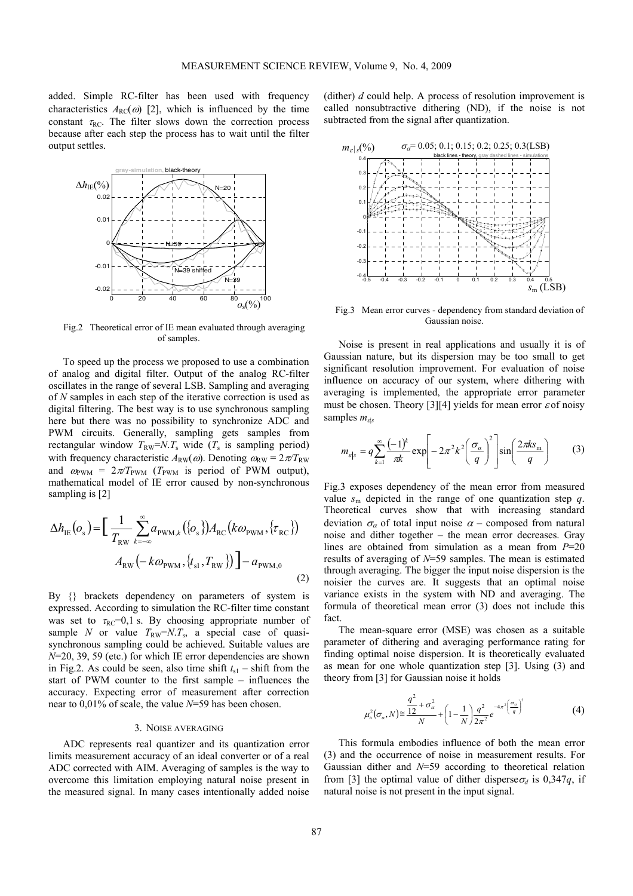added. Simple RC-filter has been used with frequency characteristics  $A_{RC}(\omega)$  [2], which is influenced by the time constant  $\tau_{RC}$ . The filter slows down the correction process because after each step the process has to wait until the filter output settles.



Fig.2 Theoretical error of IE mean evaluated through averaging of samples.

To speed up the process we proposed to use a combination of analog and digital filter. Output of the analog RC-filter oscillates in the range of several LSB. Sampling and averaging of *N* samples in each step of the iterative correction is used as digital filtering. The best way is to use synchronous sampling here but there was no possibility to synchronize ADC and PWM circuits. Generally, sampling gets samples from rectangular window  $T_{\text{RW}}=N.T_{\text{s}}$  wide ( $T_{\text{s}}$  is sampling period) with frequency characteristic  $A_{\text{RW}}(\omega)$ . Denoting  $\omega_{\text{RW}} = 2\pi/T_{\text{RW}}$ and  $\omega_{\text{PWM}} = 2\pi/T_{\text{PWM}}$  ( $T_{\text{PWM}}$  is period of PWM output), mathematical model of IE error caused by non-synchronous sampling is [2]

$$
\Delta h_{\text{IE}}(o_s) = \left[\frac{1}{T_{\text{RW}}}\sum_{k=-\infty}^{\infty} a_{\text{PWM},k}(\{o_s\}) A_{\text{RC}}(k\omega_{\text{PWM}}, \{\tau_{\text{RC}}\})\right] - a_{\text{PWM},0}
$$
\n
$$
A_{\text{RW}}(-k\omega_{\text{PWM}}, \{t_{\text{sl}}, T_{\text{RW}}\})\left] - a_{\text{PWM},0}\right] \tag{2}
$$

By {} brackets dependency on parameters of system is expressed. According to simulation the RC-filter time constant was set to  $\tau_{RC} = 0.1$  s. By choosing appropriate number of sample *N* or value  $T_{RW} = N.T_s$ , a special case of quasisynchronous sampling could be achieved. Suitable values are *N*=20, 39, 59 (etc.) for which IE error dependencies are shown in Fig.2. As could be seen, also time shift  $t_{s1}$  – shift from the start of PWM counter to the first sample – influences the accuracy. Expecting error of measurement after correction near to 0,01% of scale, the value *N*=59 has been chosen.

## 3. NOISE AVERAGING

ADC represents real quantizer and its quantization error limits measurement accuracy of an ideal converter or of a real ADC corrected with AIM. Averaging of samples is the way to overcome this limitation employing natural noise present in the measured signal. In many cases intentionally added noise (dither) *d* could help. A process of resolution improvement is called nonsubtractive dithering (ND), if the noise is not subtracted from the signal after quantization.



Fig.3 Mean error curves - dependency from standard deviation of Gaussian noise.

Noise is present in real applications and usually it is of Gaussian nature, but its dispersion may be too small to get significant resolution improvement. For evaluation of noise influence on accuracy of our system, where dithering with averaging is implemented, the appropriate error parameter must be chosen. Theory [3][4] yields for mean error  $\varepsilon$  of noisy samples *m*<sub>ds</sub>

$$
m_{\varepsilon|s} = q \sum_{k=1}^{\infty} \frac{(-1)^k}{\pi k} \exp\left[-2\pi^2 k^2 \left(\frac{\sigma_\alpha}{q}\right)^2\right] \sin\left(\frac{2\pi k s_m}{q}\right) \tag{3}
$$

Fig.3 exposes dependency of the mean error from measured value  $s_m$  depicted in the range of one quantization step *q*. Theoretical curves show that with increasing standard deviation  $\sigma_{\alpha}$  of total input noise  $\alpha$  – composed from natural noise and dither together – the mean error decreases. Gray lines are obtained from simulation as a mean from *P*=20 results of averaging of *N*=59 samples. The mean is estimated through averaging. The bigger the input noise dispersion is the noisier the curves are. It suggests that an optimal noise variance exists in the system with ND and averaging. The formula of theoretical mean error (3) does not include this fact.

The mean-square error (MSE) was chosen as a suitable parameter of dithering and averaging performance rating for finding optimal noise dispersion. It is theoretically evaluated as mean for one whole quantization step [3]. Using (3) and theory from [3] for Gaussian noise it holds

$$
\mu_a^2(\sigma_a, N) \approx \frac{q^2}{12} + \sigma_a^2 + \left(1 - \frac{1}{N}\right) \frac{q^2}{2\pi^2} e^{-4\pi^2 \left(\frac{\sigma_a}{q}\right)^2}
$$
(4)

This formula embodies influence of both the mean error (3) and the occurrence of noise in measurement results. For Gaussian dither and *N*=59 according to theoretical relation from [3] the optimal value of dither disperse  $\sigma_d$  is 0,347*q*, if natural noise is not present in the input signal.